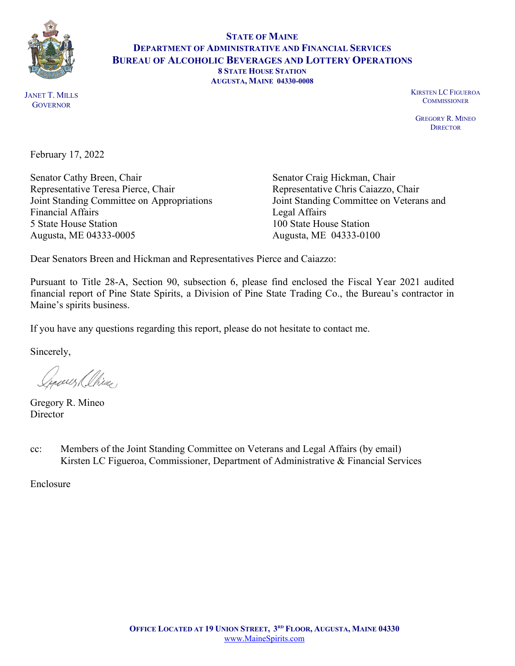

#### **STATE OF MAINE DEPARTMENT OF ADMINISTRATIVE AND FINANCIAL SERVICES BUREAU OF ALCOHOLIC BEVERAGES AND LOTTERY OPERATIONS 8 STATE HOUSE STATION AUGUSTA, MAINE 04330-0008**

KIRSTEN LC FIGUEROA **COMMISSIONER** 

GREGORY R. MINEO **DIRECTOR** 

JANET T. MILLS **GOVERNOR** 

February 17, 2022

Senator Cathy Breen, Chair Senator Craig Hickman, Chair Representative Teresa Pierce, Chair Representative Chris Caiazzo, Chair Joint Standing Committee on Appropriations Joint Standing Committee on Veterans and Financial Affairs **Legal Affairs** 5 State House Station 100 State House Station Augusta, ME 04333-0005 Augusta, ME 04333-0100

Dear Senators Breen and Hickman and Representatives Pierce and Caiazzo:

Pursuant to Title 28-A, Section 90, subsection 6, please find enclosed the Fiscal Year 2021 audited financial report of Pine State Spirits, a Division of Pine State Trading Co., the Bureau's contractor in Maine's spirits business.

If you have any questions regarding this report, please do not hesitate to contact me.

Sincerely,

Invers Ohice,

Gregory R. Mineo Director

cc: Members of the Joint Standing Committee on Veterans and Legal Affairs (by email) Kirsten LC Figueroa, Commissioner, Department of Administrative & Financial Services

Enclosure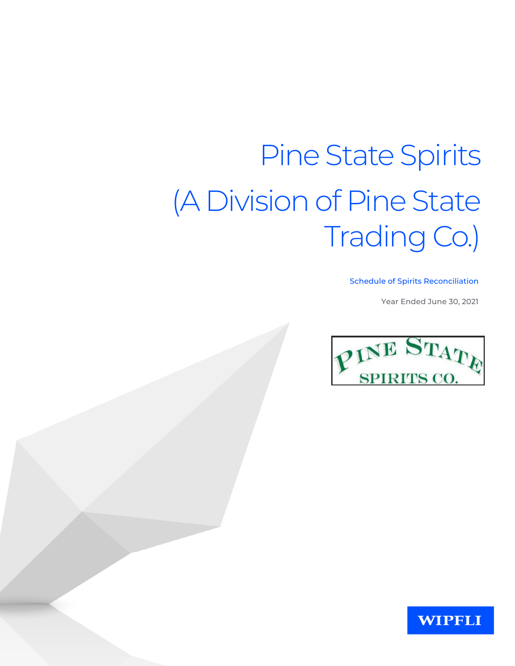# **Pine State Spirits** (A Division of Pine State Trading Co.)

**Schedule of Spirits Reconciliation** 

Year Ended June 30, 2021



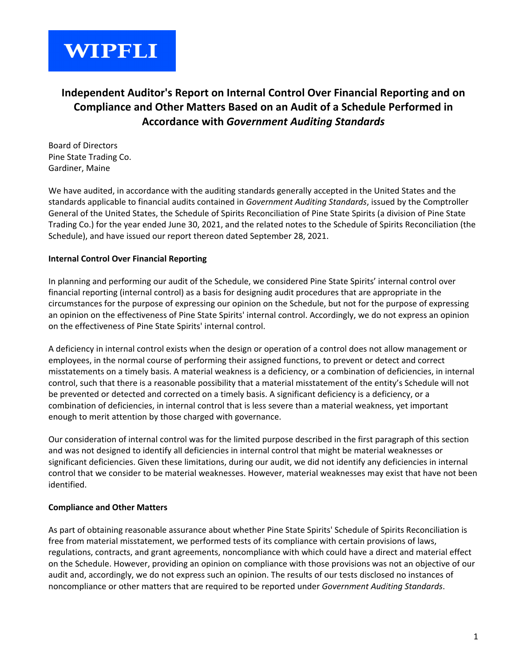# **WIPFLI**

# **Independent Auditor's Report on Internal Control Over Financial Reporting and on Compliance and Other Matters Based on an Audit of a Schedule Performed in Accordance with** *Government Auditing Standards*

Board of Directors Pine State Trading Co. Gardiner, Maine

We have audited, in accordance with the auditing standards generally accepted in the United States and the standards applicable to financial audits contained in *Government Auditing Standards*, issued by the Comptroller General of the United States, the Schedule of Spirits Reconciliation of Pine State Spirits (a division of Pine State Trading Co.) for the year ended June 30, 2021, and the related notes to the Schedule of Spirits Reconciliation (the Schedule), and have issued our report thereon dated September 28, 2021.

#### **Internal Control Over Financial Reporting**

In planning and performing our audit of the Schedule, we considered Pine State Spirits' internal control over financial reporting (internal control) as a basis for designing audit procedures that are appropriate in the circumstances for the purpose of expressing our opinion on the Schedule, but not for the purpose of expressing an opinion on the effectiveness of Pine State Spirits' internal control. Accordingly, we do not express an opinion on the effectiveness of Pine State Spirits' internal control.

A deficiency in internal control exists when the design or operation of a control does not allow management or employees, in the normal course of performing their assigned functions, to prevent or detect and correct misstatements on a timely basis. A material weakness is a deficiency, or a combination of deficiencies, in internal control, such that there is a reasonable possibility that a material misstatement of the entity's Schedule will not be prevented or detected and corrected on a timely basis. A significant deficiency is a deficiency, or a combination of deficiencies, in internal control that is less severe than a material weakness, yet important enough to merit attention by those charged with governance.

Our consideration of internal control was for the limited purpose described in the first paragraph of this section and was not designed to identify all deficiencies in internal control that might be material weaknesses or significant deficiencies. Given these limitations, during our audit, we did not identify any deficiencies in internal control that we consider to be material weaknesses. However, material weaknesses may exist that have not been identified.

#### **Compliance and Other Matters**

As part of obtaining reasonable assurance about whether Pine State Spirits' Schedule of Spirits Reconciliation is free from material misstatement, we performed tests of its compliance with certain provisions of laws, regulations, contracts, and grant agreements, noncompliance with which could have a direct and material effect on the Schedule. However, providing an opinion on compliance with those provisions was not an objective of our audit and, accordingly, we do not express such an opinion. The results of our tests disclosed no instances of noncompliance or other matters that are required to be reported under *Government Auditing Standards*.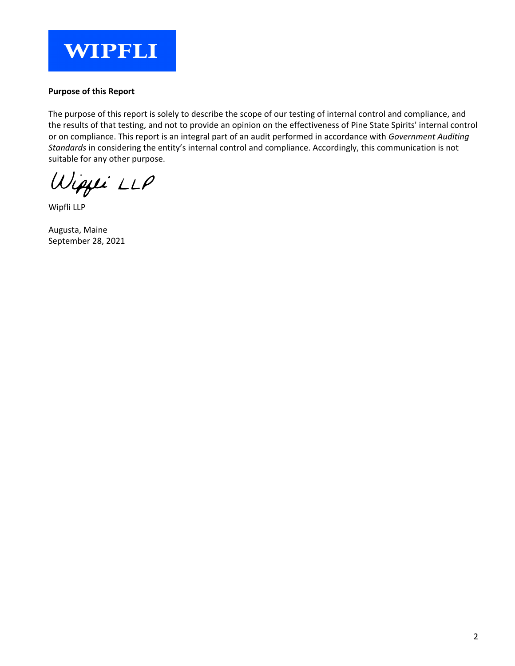

#### **Purpose of this Report**

The purpose of this report is solely to describe the scope of our testing of internal control and compliance, and the results of that testing, and not to provide an opinion on the effectiveness of Pine State Spirits' internal control or on compliance. This report is an integral part of an audit performed in accordance with *Government Auditing Standards* in considering the entity's internal control and compliance. Accordingly, this communication is not suitable for any other purpose.

Wigger LLP

Wipfli LLP

Augusta, Maine September 28, 2021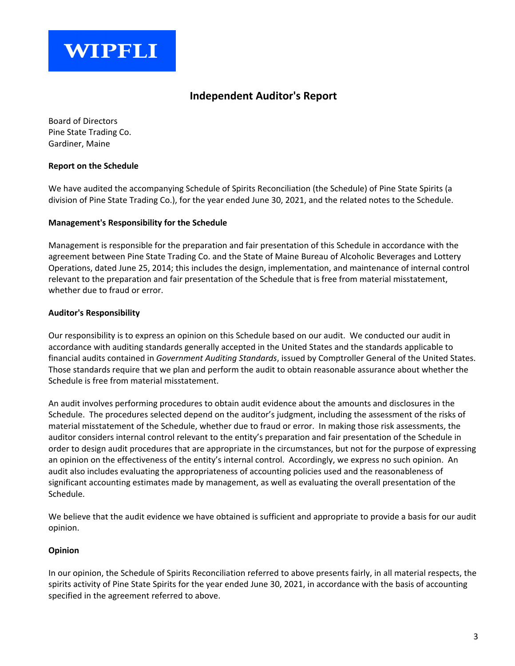

## **Independent Auditor's Report**

Board of Directors Pine State Trading Co. Gardiner, Maine

#### **Report on the Schedule**

We have audited the accompanying Schedule of Spirits Reconciliation (the Schedule) of Pine State Spirits (a division of Pine State Trading Co.), for the year ended June 30, 2021, and the related notes to the Schedule.

#### **Management's Responsibility for the Schedule**

Management is responsible for the preparation and fair presentation of this Schedule in accordance with the agreement between Pine State Trading Co. and the State of Maine Bureau of Alcoholic Beverages and Lottery Operations, dated June 25, 2014; this includes the design, implementation, and maintenance of internal control relevant to the preparation and fair presentation of the Schedule that is free from material misstatement, whether due to fraud or error.

#### **Auditor's Responsibility**

Our responsibility is to express an opinion on this Schedule based on our audit. We conducted our audit in accordance with auditing standards generally accepted in the United States and the standards applicable to financial audits contained in *Government Auditing Standards*, issued by Comptroller General of the United States. Those standards require that we plan and perform the audit to obtain reasonable assurance about whether the Schedule is free from material misstatement.

An audit involves performing procedures to obtain audit evidence about the amounts and disclosures in the Schedule. The procedures selected depend on the auditor's judgment, including the assessment of the risks of material misstatement of the Schedule, whether due to fraud or error. In making those risk assessments, the auditor considers internal control relevant to the entity's preparation and fair presentation of the Schedule in order to design audit procedures that are appropriate in the circumstances, but not for the purpose of expressing an opinion on the effectiveness of the entity's internal control. Accordingly, we express no such opinion. An audit also includes evaluating the appropriateness of accounting policies used and the reasonableness of significant accounting estimates made by management, as well as evaluating the overall presentation of the Schedule.

We believe that the audit evidence we have obtained is sufficient and appropriate to provide a basis for our audit opinion.

#### **Opinion**

In our opinion, the Schedule of Spirits Reconciliation referred to above presents fairly, in all material respects, the spirits activity of Pine State Spirits for the year ended June 30, 2021, in accordance with the basis of accounting specified in the agreement referred to above.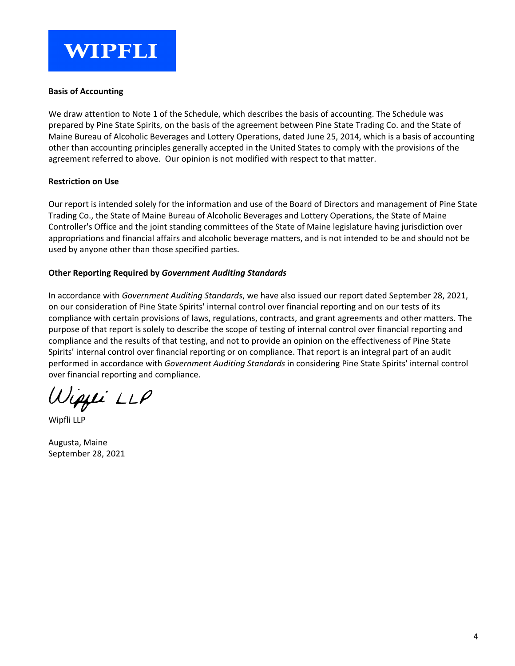# **WIPFLI**

#### **Basis of Accounting**

We draw attention to Note 1 of the Schedule, which describes the basis of accounting. The Schedule was prepared by Pine State Spirits, on the basis of the agreement between Pine State Trading Co. and the State of Maine Bureau of Alcoholic Beverages and Lottery Operations, dated June 25, 2014, which is a basis of accounting other than accounting principles generally accepted in the United States to comply with the provisions of the agreement referred to above. Our opinion is not modified with respect to that matter.

#### **Restriction on Use**

Our report is intended solely for the information and use of the Board of Directors and management of Pine State Trading Co., the State of Maine Bureau of Alcoholic Beverages and Lottery Operations, the State of Maine Controller's Office and the joint standing committees of the State of Maine legislature having jurisdiction over appropriations and financial affairs and alcoholic beverage matters, and is not intended to be and should not be used by anyone other than those specified parties.

#### **Other Reporting Required by** *Government Auditing Standards*

In accordance with *Government Auditing Standards*, we have also issued our report dated September 28, 2021, on our consideration of Pine State Spirits' internal control over financial reporting and on our tests of its compliance with certain provisions of laws, regulations, contracts, and grant agreements and other matters. The purpose of that report is solely to describe the scope of testing of internal control over financial reporting and compliance and the results of that testing, and not to provide an opinion on the effectiveness of Pine State Spirits' internal control over financial reporting or on compliance. That report is an integral part of an audit performed in accordance with *Government Auditing Standards* in considering Pine State Spirits' internal control over financial reporting and compliance.

Afli LLP

Wipfli LLP

Augusta, Maine September 28, 2021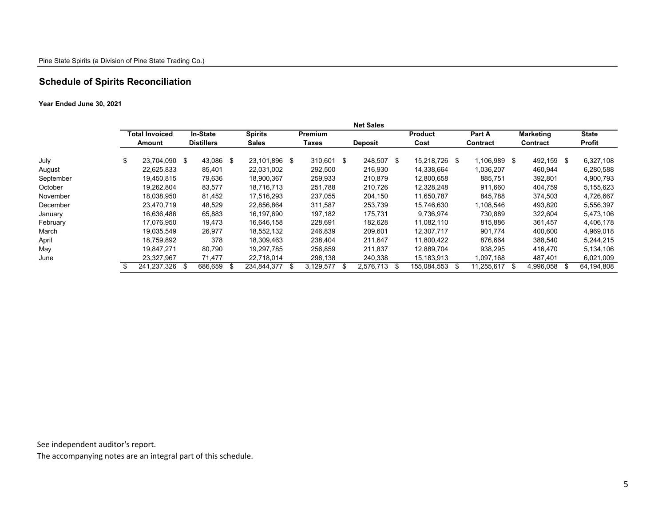#### **Schedule of Spirits Reconciliation**

#### Year Ended June 30, 2021

|           |                          | <b>Net Sales</b> |                                      |           |      |                                |     |                  |     |                |    |                        |  |                    |     |                                     |  |                               |
|-----------|--------------------------|------------------|--------------------------------------|-----------|------|--------------------------------|-----|------------------|-----|----------------|----|------------------------|--|--------------------|-----|-------------------------------------|--|-------------------------------|
|           | Total Invoiced<br>Amount |                  | <b>In-State</b><br><b>Distillers</b> |           |      | <b>Spirits</b><br><b>Sales</b> |     | Premium<br>Taxes |     | <b>Deposit</b> |    | <b>Product</b><br>Cost |  | Part A<br>Contract |     | <b>Marketing</b><br><b>Contract</b> |  | <b>State</b><br><b>Profit</b> |
| July      | \$                       | 23.704.090 \$    |                                      | 43,086 \$ |      | 23,101,896 \$                  |     | 310.601          | \$  | 248.507 \$     |    | 15.218.726 \$          |  | .106,989           | \$  | 492,159 \$                          |  | 6,327,108                     |
| August    |                          | 22.625.833       |                                      | 85,401    |      | 22,031,002                     |     | 292,500          |     | 216,930        |    | 14.338.664             |  | 1,036,207          |     | 460,944                             |  | 6,280,588                     |
| September |                          | 19,450,815       |                                      | 79,636    |      | 18,900,367                     |     | 259,933          |     | 210,879        |    | 12,800,658             |  | 885,751            |     | 392,801                             |  | 4,900,793                     |
| October   |                          | 19,262,804       |                                      | 83,577    |      | 18,716,713                     |     | 251,788          |     | 210,726        |    | 12,328,248             |  | 911,660            |     | 404,759                             |  | 5,155,623                     |
| November  |                          | 18,038,950       |                                      | 81,452    |      | 17,516,293                     |     | 237,055          |     | 204,150        |    | 11,650,787             |  | 845,788            |     | 374,503                             |  | 4,726,667                     |
| December  |                          | 23.470.719       |                                      | 48,529    |      | 22,856,864                     |     | 311,587          |     | 253,739        |    | 15.746.630             |  | .108,546           |     | 493,820                             |  | 5,556,397                     |
| January   |                          | 16,636,486       |                                      | 65,883    |      | 16,197,690                     |     | 197,182          |     | 175,731        |    | 9.736.974              |  | 730,889            |     | 322,604                             |  | 5,473,106                     |
| February  |                          | 17,076,950       |                                      | 19,473    |      | 16.646.158                     |     | 228,691          |     | 182,628        |    | 11,082,110             |  | 815,886            |     | 361,457                             |  | 4,406,178                     |
| March     |                          | 19,035,549       |                                      | 26,977    |      | 18,552,132                     |     | 246,839          |     | 209,601        |    | 12,307,717             |  | 901,774            |     | 400,600                             |  | 4,969,018                     |
| April     |                          | 18,759,892       |                                      | 378       |      | 18,309,463                     |     | 238,404          |     | 211,647        |    | 11,800,422             |  | 876,664            |     | 388,540                             |  | 5,244,215                     |
| May       |                          | 19.847.271       |                                      | 80,790    |      | 19,297,785                     |     | 256,859          |     | 211,837        |    | 12,889,704             |  | 938,295            |     | 416,470                             |  | 5,134,106                     |
| June      |                          | 23,327,967       |                                      | 71,477    |      | 22,718,014                     |     | 298,138          |     | 240,338        |    | 15,183,913             |  | 1,097,168          |     | 487,401                             |  | 6,021,009                     |
|           |                          | 241,237,326      |                                      | 686,659   | - 56 | 234,844,377                    | -\$ | 3,129,577        | -\$ | 2.576.713      | \$ | 155,084,553            |  | 11,255,617         | \$. | 4,996,058                           |  | 64,194,808                    |

See independent auditor's report.

The accompanying notes are an integral part of this schedule.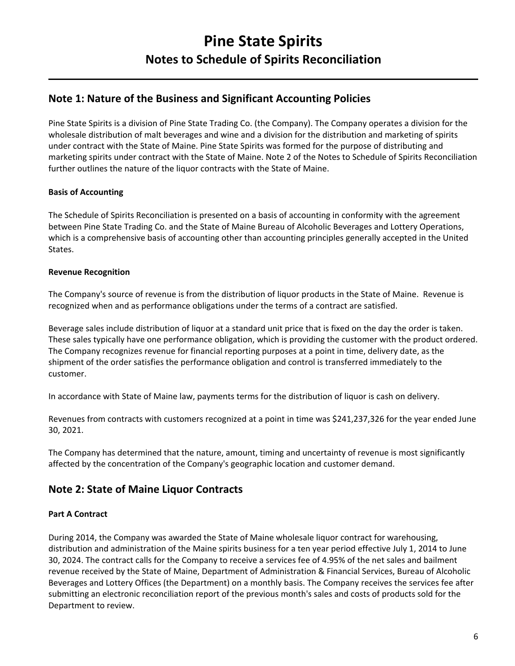# **Note 1: Nature of the Business and Significant Accounting Policies**

Pine State Spirits is a division of Pine State Trading Co. (the Company). The Company operates a division for the wholesale distribution of malt beverages and wine and a division for the distribution and marketing of spirits under contract with the State of Maine. Pine State Spirits was formed for the purpose of distributing and marketing spirits under contract with the State of Maine. Note 2 of the Notes to Schedule of Spirits Reconciliation further outlines the nature of the liquor contracts with the State of Maine.

#### **Basis of Accounting**

The Schedule of Spirits Reconciliation is presented on a basis of accounting in conformity with the agreement between Pine State Trading Co. and the State of Maine Bureau of Alcoholic Beverages and Lottery Operations, which is a comprehensive basis of accounting other than accounting principles generally accepted in the United States.

#### **Revenue Recognition**

The Company's source of revenue is from the distribution of liquor products in the State of Maine. Revenue is recognized when and as performance obligations under the terms of a contract are satisfied.

Beverage sales include distribution of liquor at a standard unit price that is fixed on the day the order is taken. These sales typically have one performance obligation, which is providing the customer with the product ordered. The Company recognizes revenue for financial reporting purposes at a point in time, delivery date, as the shipment of the order satisfies the performance obligation and control is transferred immediately to the customer.

In accordance with State of Maine law, payments terms for the distribution of liquor is cash on delivery.

Revenues from contracts with customers recognized at a point in time was \$241,237,326 for the year ended June 30, 2021.

The Company has determined that the nature, amount, timing and uncertainty of revenue is most significantly affected by the concentration of the Company's geographic location and customer demand.

# **Note 2: State of Maine Liquor Contracts**

#### **Part A Contract**

During 2014, the Company was awarded the State of Maine wholesale liquor contract for warehousing, distribution and administration of the Maine spirits business for a ten year period effective July 1, 2014 to June 30, 2024. The contract calls for the Company to receive a services fee of 4.95% of the net sales and bailment revenue received by the State of Maine, Department of Administration & Financial Services, Bureau of Alcoholic Beverages and Lottery Offices (the Department) on a monthly basis. The Company receives the services fee after submitting an electronic reconciliation report of the previous month's sales and costs of products sold for the Department to review.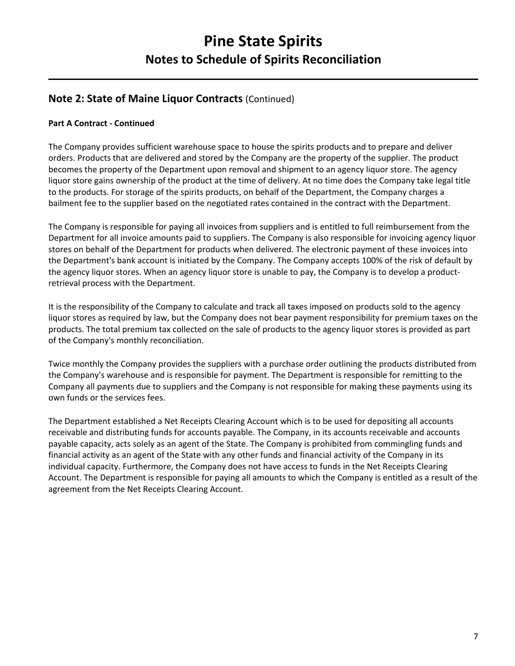# **Note 2: State of Maine Liquor Contracts** (Continued)

#### **Part A Contract - Continued**

The Company provides sufficient warehouse space to house the spirits products and to prepare and deliver orders. Products that are delivered and stored by the Company are the property of the supplier. The product becomes the property of the Department upon removal and shipment to an agency liquor store. The agency liquor store gains ownership of the product at the time of delivery. At no time does the Company take legal title to the products. For storage of the spirits products, on behalf of the Department, the Company charges a bailment fee to the supplier based on the negotiated rates contained in the contract with the Department.

The Company is responsible for paying all invoices from suppliers and is entitled to full reimbursement from the Department for all invoice amounts paid to suppliers. The Company is also responsible for invoicing agency liquor stores on behalf of the Department for products when delivered. The electronic payment of these invoices into the Department's bank account is initiated by the Company. The Company accepts 100% of the risk of default by the agency liquor stores. When an agency liquor store is unable to pay, the Company is to develop a productretrieval process with the Department.

It is the responsibility of the Company to calculate and track all taxes imposed on products sold to the agency liquor stores as required by law, but the Company does not bear payment responsibility for premium taxes on the products. The total premium tax collected on the sale of products to the agency liquor stores is provided as part of the Company's monthly reconciliation.

Twice monthly the Company provides the suppliers with a purchase order outlining the products distributed from the Company's warehouse and is responsible for payment. The Department is responsible for remitting to the Company all payments due to suppliers and the Company is not responsible for making these payments using its own funds or the services fees.

The Department established a Net Receipts Clearing Account which is to be used for depositing all accounts receivable and distributing funds for accounts payable. The Company, in its accounts receivable and accounts payable capacity, acts solely as an agent of the State. The Company is prohibited from commingling funds and financial activity as an agent of the State with any other funds and financial activity of the Company in its individual capacity. Furthermore, the Company does not have access to funds in the Net Receipts Clearing Account. The Department is responsible for paying all amounts to which the Company is entitled as a result of the agreement from the Net Receipts Clearing Account.